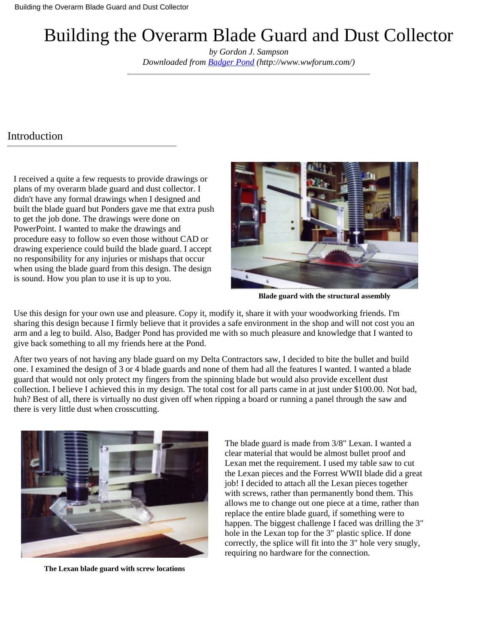# Building the Overarm Blade Guard and Dust Collector

*by Gordon J. Sampson Downloaded from [Badger Pond](http://www.wwforum.com/) (http://www.wwforum.com/)*

#### Introduction

I received a quite a few requests to provide drawings or plans of my overarm blade guard and dust collector. I didn't have any formal drawings when I designed and built the blade guard but Ponders gave me that extra push to get the job done. The drawings were done on PowerPoint. I wanted to make the drawings and procedure easy to follow so even those without CAD or drawing experience could build the blade guard. I accept no responsibility for any injuries or mishaps that occur when using the blade guard from this design. The design is sound. How you plan to use it is up to you.



**Blade guard with the structural assembly**

Use this design for your own use and pleasure. Copy it, modify it, share it with your woodworking friends. I'm sharing this design because I firmly believe that it provides a safe environment in the shop and will not cost you an arm and a leg to build. Also, Badger Pond has provided me with so much pleasure and knowledge that I wanted to give back something to all my friends here at the Pond.

After two years of not having any blade guard on my Delta Contractors saw, I decided to bite the bullet and build one. I examined the design of 3 or 4 blade guards and none of them had all the features I wanted. I wanted a blade guard that would not only protect my fingers from the spinning blade but would also provide excellent dust collection. I believe I achieved this in my design. The total cost for all parts came in at just under \$100.00. Not bad, huh? Best of all, there is virtually no dust given off when ripping a board or running a panel through the saw and there is very little dust when crosscutting.



**The Lexan blade guard with screw locations**

The blade guard is made from 3/8" Lexan. I wanted a clear material that would be almost bullet proof and Lexan met the requirement. I used my table saw to cut the Lexan pieces and the Forrest WWII blade did a great job! I decided to attach all the Lexan pieces together with screws, rather than permanently bond them. This allows me to change out one piece at a time, rather than replace the entire blade guard, if something were to happen. The biggest challenge I faced was drilling the 3" hole in the Lexan top for the 3" plastic splice. If done correctly, the splice will fit into the 3" hole very snugly, requiring no hardware for the connection.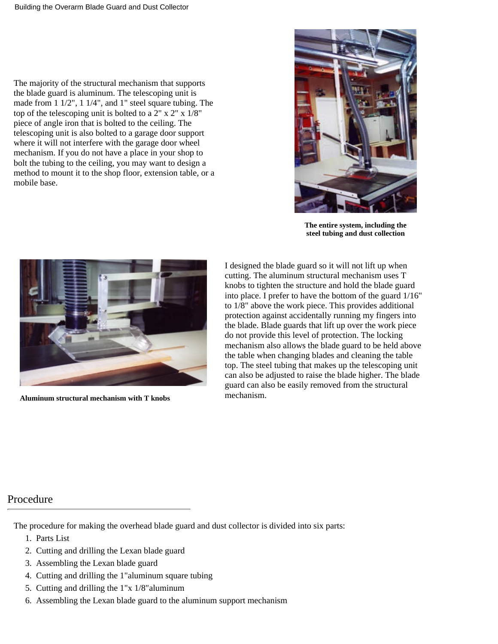The majority of the structural mechanism that supports the blade guard is aluminum. The telescoping unit is made from 1 1/2", 1 1/4", and 1" steel square tubing. The top of the telescoping unit is bolted to a  $2'' \times 2'' \times 1/8''$ piece of angle iron that is bolted to the ceiling. The telescoping unit is also bolted to a garage door support where it will not interfere with the garage door wheel mechanism. If you do not have a place in your shop to bolt the tubing to the ceiling, you may want to design a method to mount it to the shop floor, extension table, or a mobile base.



**The entire system, including the steel tubing and dust collection**



**Aluminum structural mechanism with T knobs**

I designed the blade guard so it will not lift up when cutting. The aluminum structural mechanism uses T knobs to tighten the structure and hold the blade guard into place. I prefer to have the bottom of the guard 1/16" to 1/8" above the work piece. This provides additional protection against accidentally running my fingers into the blade. Blade guards that lift up over the work piece do not provide this level of protection. The locking mechanism also allows the blade guard to be held above the table when changing blades and cleaning the table top. The steel tubing that makes up the telescoping unit can also be adjusted to raise the blade higher. The blade guard can also be easily removed from the structural mechanism.

#### Procedure

The procedure for making the overhead blade guard and dust collector is divided into six parts:

- 1. Parts List
- 2. Cutting and drilling the Lexan blade guard
- 3. Assembling the Lexan blade guard
- 4. Cutting and drilling the 1"aluminum square tubing
- 5. Cutting and drilling the  $1"x\ 1/8"$  aluminum
- Assembling the Lexan blade guard to the aluminum support mechanism6.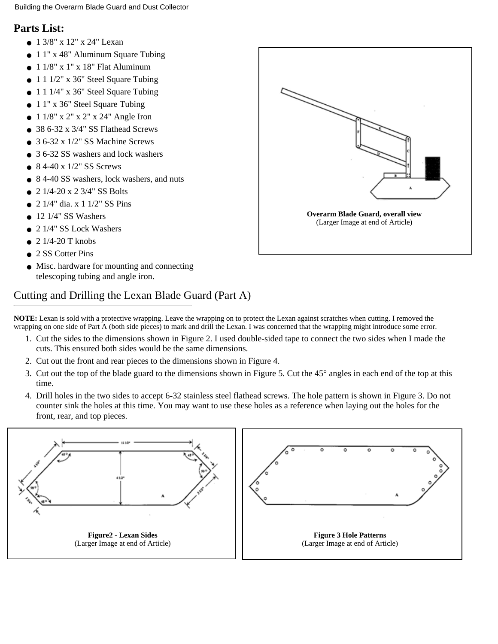#### **Parts List:**

- 1 3/8" x 12" x 24" Lexan
- 1 1" x 48" Aluminum Square Tubing
- $\bullet$  1 1/8" x 1" x 18" Flat Aluminum
- $\bullet$  1 1 1/2" x 36" Steel Square Tubing
- $\bullet$  1 1 1/4" x 36" Steel Square Tubing
- 1 1" x 36" Steel Square Tubing
- $\bullet$  1 1/8" x 2" x 2" x 24" Angle Iron
- 38 6-32 x 3/4" SS Flathead Screws
- $\bullet$  3 6-32 x 1/2" SS Machine Screws
- 3.6-32 SS washers and lock washers
- $\bullet$  8 4-40 x 1/2" SS Screws
- 8 4-40 SS washers, lock washers, and nuts
- $\bullet$  2 1/4-20 x 2 3/4" SS Bolts
- $\bullet$  2 1/4" dia. x 1 1/2" SS Pins
- $\bullet$  12 1/4" SS Washers
- 2 1/4" SS Lock Washers
- $\bullet$  2 1/4-20 T knobs
- 2 SS Cotter Pins
- Misc. hardware for mounting and connecting telescoping tubing and angle iron.

## Cutting and Drilling the Lexan Blade Guard (Part A)

**NOTE:** Lexan is sold with a protective wrapping. Leave the wrapping on to protect the Lexan against scratches when cutting. I removed the wrapping on one side of Part A (both side pieces) to mark and drill the Lexan. I was concerned that the wrapping might introduce some error.

- 1. Cut the sides to the dimensions shown in Figure 2. I used double-sided tape to connect the two sides when I made the cuts. This ensured both sides would be the same dimensions.
- 2. Cut out the front and rear pieces to the dimensions shown in Figure 4.
- 3. Cut out the top of the blade guard to the dimensions shown in Figure 5. Cut the 45° angles in each end of the top at this time.
- 4. Drill holes in the two sides to accept 6-32 stainless steel flathead screws. The hole pattern is shown in Figure 3. Do not counter sink the holes at this time. You may want to use these holes as a reference when laying out the holes for the front, rear, and top pieces.





**Figure 3 Hole Patterns** [\(Larger Image at end of Article\)](#page-8-0)



**[Overarm Blade Guard, overall view](#page-6-0)** (Larger Image at end of Article)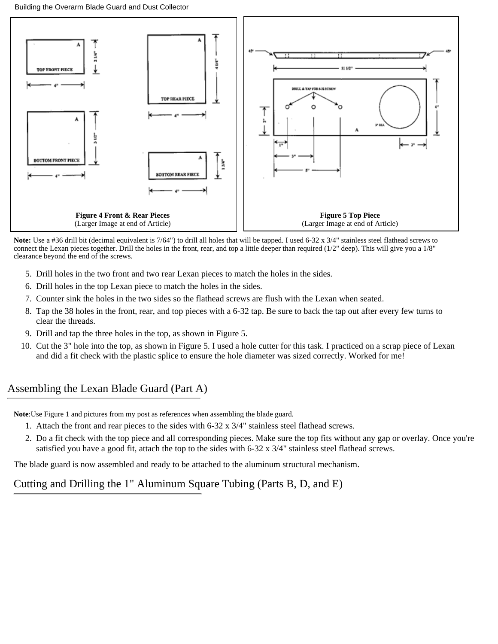

**Figure 4 Front & Rear Pieces** [\(Larger Image at end of Article\)](#page-9-0)

**Figure 5 Top Piece** [\(Larger Image at end of Article\)](#page-10-0)

**Note:** Use a #36 drill bit (decimal equivalent is 7/64") to drill all holes that will be tapped. I used 6-32 x 3/4" stainless steel flathead screws to connect the Lexan pieces together. Drill the holes in the front, rear, and top a little deeper than required (1/2" deep). This will give you a 1/8" clearance beyond the end of the screws.

- 5. Drill holes in the two front and two rear Lexan pieces to match the holes in the sides.
- 6. Drill holes in the top Lexan piece to match the holes in the sides.
- 7. Counter sink the holes in the two sides so the flathead screws are flush with the Lexan when seated.
- 8. Tap the 38 holes in the front, rear, and top pieces with a 6-32 tap. Be sure to back the tap out after every few turns to clear the threads.
- 9. Drill and tap the three holes in the top, as shown in Figure 5.
- 10. Cut the 3" hole into the top, as shown in Figure 5. I used a hole cutter for this task. I practiced on a scrap piece of Lexan and did a fit check with the plastic splice to ensure the hole diameter was sized correctly. Worked for me!

## Assembling the Lexan Blade Guard (Part A)

**Note**:Use Figure 1 and pictures from my post as references when assembling the blade guard.

- 1. Attach the front and rear pieces to the sides with 6-32 x 3/4" stainless steel flathead screws.
- 2. Do a fit check with the top piece and all corresponding pieces. Make sure the top fits without any gap or overlay. Once you're satisfied you have a good fit, attach the top to the sides with 6-32 x 3/4" stainless steel flathead screws.

The blade guard is now assembled and ready to be attached to the aluminum structural mechanism.

## Cutting and Drilling the 1" Aluminum Square Tubing (Parts B, D, and E)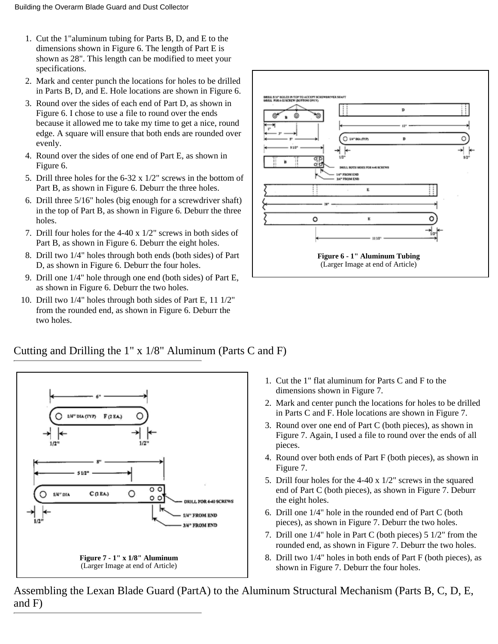- 1. Cut the 1"aluminum tubing for Parts B, D, and E to the dimensions shown in Figure 6. The length of Part E is shown as 28". This length can be modified to meet your specifications.
- Mark and center punch the locations for holes to be drilled 2. in Parts B, D, and E. Hole locations are shown in Figure 6.
- 3. Round over the sides of each end of Part D, as shown in Figure 6. I chose to use a file to round over the ends because it allowed me to take my time to get a nice, round edge. A square will ensure that both ends are rounded over evenly.
- 4. Round over the sides of one end of Part E, as shown in Figure 6.
- 5. Drill three holes for the  $6-32 \times 1/2$ " screws in the bottom of Part B, as shown in Figure 6. Deburr the three holes.
- 6. Drill three 5/16" holes (big enough for a screwdriver shaft) in the top of Part B, as shown in Figure 6. Deburr the three holes.
- 7. Drill four holes for the  $4-40 \times 1/2$ " screws in both sides of Part B, as shown in Figure 6. Deburr the eight holes.
- 8. Drill two 1/4" holes through both ends (both sides) of Part D, as shown in Figure 6. Deburr the four holes.
- 9. Drill one 1/4" hole through one end (both sides) of Part E, as shown in Figure 6. Deburr the two holes.
- 10. Drill two 1/4" holes through both sides of Part E, 11 1/2" from the rounded end, as shown in Figure 6. Deburr the two holes.



**[Figure 6 - 1" Aluminum Tubing](#page-11-0)** (Larger Image at end of Article)

#### Cutting and Drilling the 1" x 1/8" Aluminum (Parts C and F)



**[Figure 7 - 1" x 1/8" Aluminum](#page-12-0)** (Larger Image at end of Article)

- 1. Cut the 1" flat aluminum for Parts C and F to the dimensions shown in Figure 7.
- Mark and center punch the locations for holes to be drilled 2. in Parts C and F. Hole locations are shown in Figure 7.
- 3. Round over one end of Part C (both pieces), as shown in Figure 7. Again, I used a file to round over the ends of all pieces.
- 4. Round over both ends of Part F (both pieces), as shown in Figure 7.
- 5. Drill four holes for the  $4-40 \times 1/2$ " screws in the squared end of Part C (both pieces), as shown in Figure 7. Deburr the eight holes.
- 6. Drill one 1/4" hole in the rounded end of Part C (both pieces), as shown in Figure 7. Deburr the two holes.
- 7. Drill one  $1/4$ " hole in Part C (both pieces)  $5 \frac{1}{2}$ " from the rounded end, as shown in Figure 7. Deburr the two holes.
- Drill two 1/4" holes in both ends of Part F (both pieces), as 8. shown in Figure 7. Deburr the four holes.

Assembling the Lexan Blade Guard (PartA) to the Aluminum Structural Mechanism (Parts B, C, D, E, and F)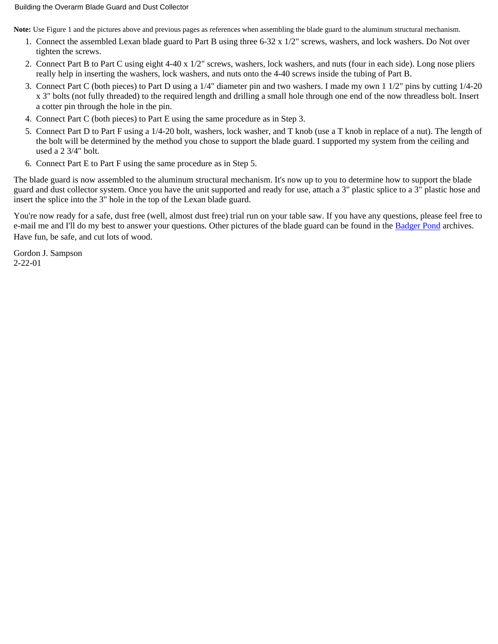#### Building the Overarm Blade Guard and Dust Collector

**Note:** Use Figure 1 and the pictures above and previous pages as references when assembling the blade guard to the aluminum structural mechanism.

- 1. Connect the assembled Lexan blade guard to Part B using three 6-32 x 1/2" screws, washers, and lock washers. Do Not over tighten the screws.
- 2. Connect Part B to Part C using eight 4-40 x 1/2" screws, washers, lock washers, and nuts (four in each side). Long nose pliers really help in inserting the washers, lock washers, and nuts onto the 4-40 screws inside the tubing of Part B.
- Connect Part C (both pieces) to Part D using a 1/4" diameter pin and two washers. I made my own 1 1/2" pins by cutting 1/4-20 3. x 3" bolts (not fully threaded) to the required length and drilling a small hole through one end of the now threadless bolt. Insert a cotter pin through the hole in the pin.
- 4. Connect Part C (both pieces) to Part E using the same procedure as in Step 3.
- 5. Connect Part D to Part F using a 1/4-20 bolt, washers, lock washer, and T knob (use a T knob in replace of a nut). The length of the bolt will be determined by the method you chose to support the blade guard. I supported my system from the ceiling and used a 2 3/4" bolt.
- 6. Connect Part E to Part F using the same procedure as in Step 5.

The blade guard is now assembled to the aluminum structural mechanism. It's now up to you to determine how to support the blade guard and dust collector system. Once you have the unit supported and ready for use, attach a 3" plastic splice to a 3" plastic hose and insert the splice into the 3" hole in the top of the Lexan blade guard.

You're now ready for a safe, dust free (well, almost dust free) trial run on your table saw. If you have any questions, please feel free to e-mail me and I'll do my best to answer your questions. Other pictures of the blade guard can be found in the [Badger Pond](http://www.wwforum.com/) archives. Have fun, be safe, and cut lots of wood.

Gordon J. Sampson 2-22-01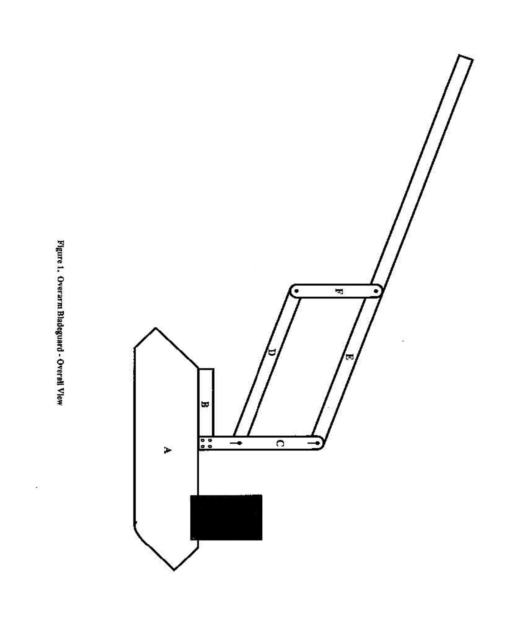Figure 1. Overarm Bladeguard - Overall Vlew

ł.

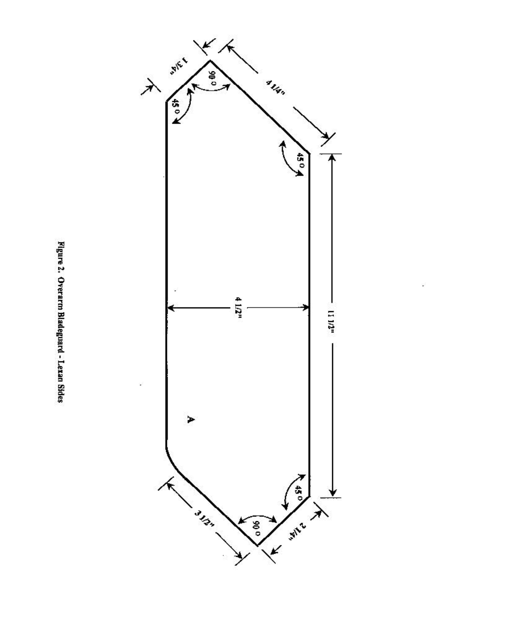

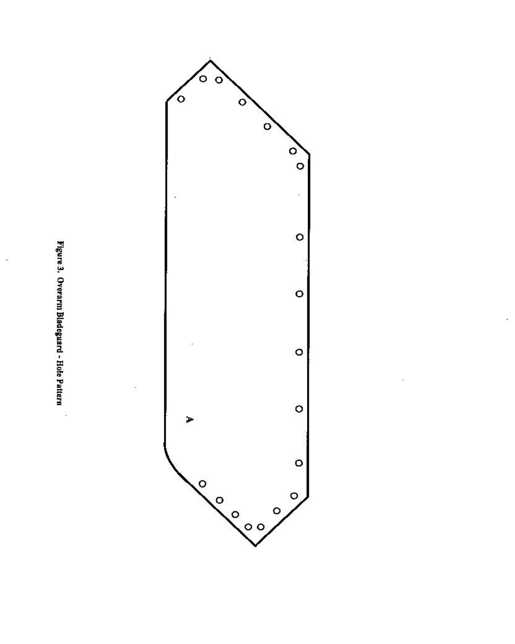

ś



 $\hat{\sigma}$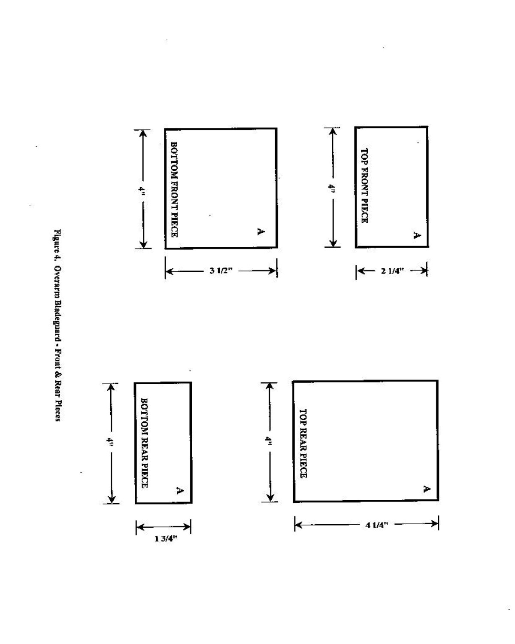Figure 4. Overarm Bladeguard - Front & Rear Pleces

Î,

 $\hat{\Sigma}$ 



ÿ

Ĉ.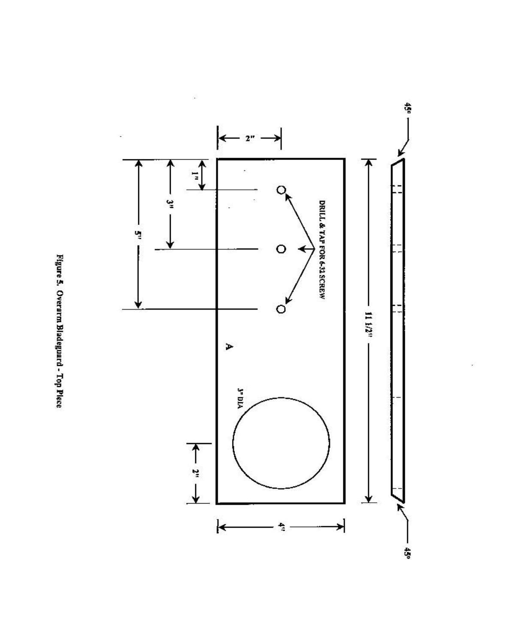Figure 5. Overarm Bladeguard - Top Plece



Ŷ.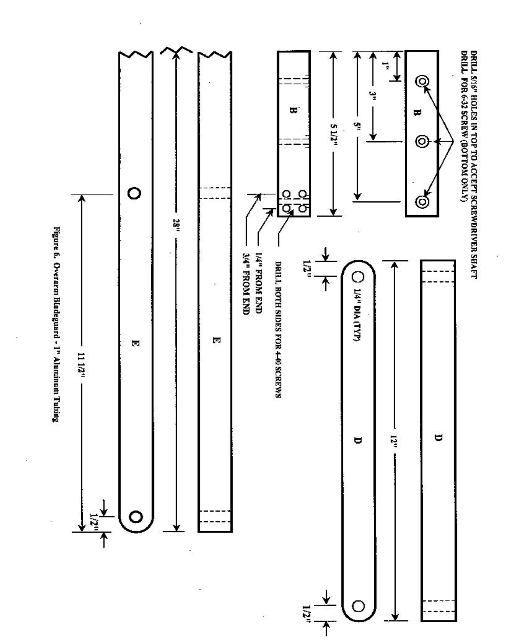